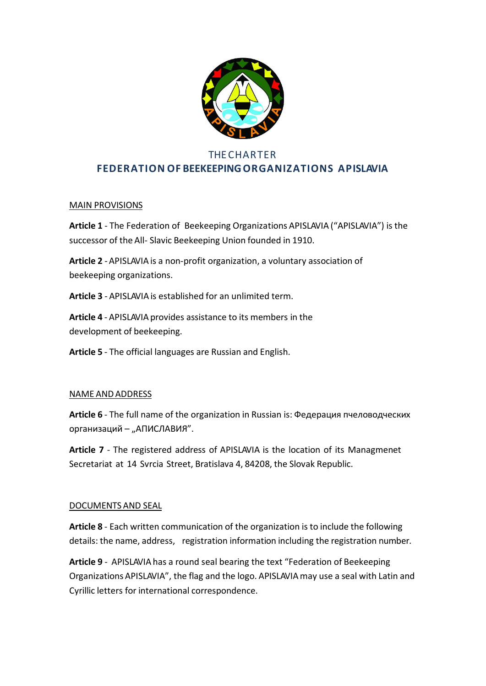

# **THE CHARTER FEDERATION OF BEEKEEPINGORGANIZATIONS APISLAVIA**

# MAIN PROVISIONS

**Article 1** - The Federation of Beekeeping Organizations APISLAVIA ("APISLAVIA") is the successor of the All- Slavic Beekeeping Union founded in 1910.

**Article 2** -APISLAVIAis a non-profit organization, a voluntary association of beekeeping organizations.

**Article 3** - APISLAVIAis established for an unlimited term.

**Article 4** - APISLAVIA provides assistance to its members in the development of beekeeping.

**Article 5** - The official languages are Russian and English.

#### NAME ANDADDRESS

**Article 6** - The full name of the organization in Russian is: Федерация пчеловодческих организаций – "АПИСЛАВИЯ".

**Article 7** - The registered address of APISLAVIA is the location of its Managmenet Secretariat at 14 Svrcia Street, Bratislava 4, 84208, the Slovak Republic.

#### DOCUMENTS AND SEAL

**Article 8** - Each written communication of the organization is to include the following details: the name, address, registration information including the registration number.

**Article 9** - APISLAVIAhas a round seal bearing the text "Federation of Beekeeping Organizations APISLAVIA", the flag and the logo. APISLAVIAmay use a seal with Latin and Cyrillic letters for international correspondence.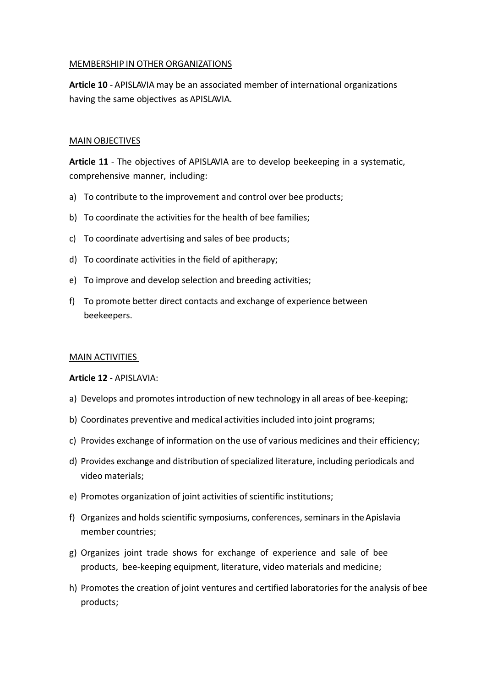#### MEMBERSHIP IN OTHER ORGANIZATIONS

**Article 10** - APISLAVIA may be an associated member of international organizations having the same objectives as APISLAVIA.

#### MAIN OBJECTIVES

**Article 11** - The objectives of APISLAVIA are to develop beekeeping in a systematic, comprehensive manner, including:

- a) To contribute to the improvement and control over bee products;
- b) To coordinate the activities for the health of bee families;
- c) To coordinate advertising and sales of bee products;
- d) To coordinate activities in the field of apitherapy;
- e) To improve and develop selection and breeding activities;
- f) To promote better direct contacts and exchange of experience between beekeepers.

#### MAIN ACTIVITIES

#### **Article 12** - APISLAVIA:

- a) Develops and promotes introduction of new technology in all areas of bee-keeping;
- b) Coordinates preventive and medical activities included into joint programs;
- c) Provides exchange of information on the use of various medicines and their efficiency;
- d) Provides exchange and distribution of specialized literature, including periodicals and video materials;
- e) Promotes organization of joint activities of scientific institutions;
- f) Organizes and holds scientific symposiums, conferences, seminars in the Apislavia member countries;
- g) Organizes joint trade shows for exchange of experience and sale of bee products, bee-keeping equipment, literature, video materials and medicine;
- h) Promotes the creation of joint ventures and certified laboratories for the analysis of bee products;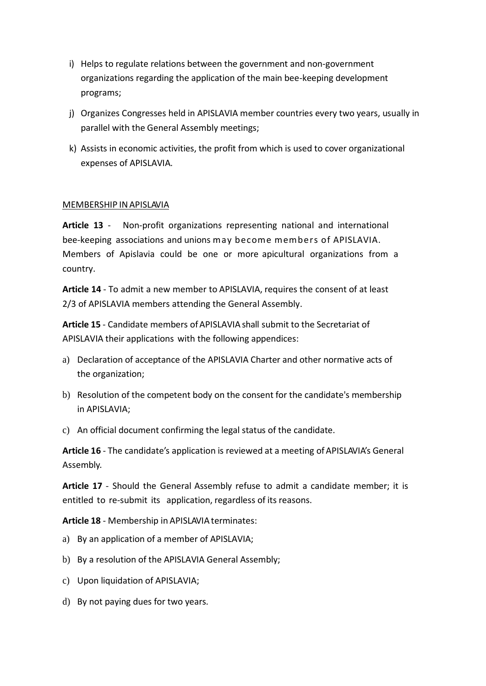- i) Helps to regulate relations between the government and non-government organizations regarding the application of the main bee-keeping development programs;
- j) Organizes Congresses held in APISLAVIA member countries every two years, usually in parallel with the General Assembly meetings;
- k) Assists in economic activities, the profit from which is used to cover organizational expenses of APISLAVIA.

## MEMBERSHIP INAPISLAVIA

**Article 13** - Non-profit organizations representing national and international bee-keeping associations and unions may become members of APISLAVIA. Members of Apislavia could be one or more apicultural organizations from a country.

**Article 14** - To admit a new member to APISLAVIA, requires the consent of at least 2/3 of APISLAVIA members attending the General Assembly.

**Article 15** - Candidate members ofAPISLAVIA shall submit to the Secretariat of APISLAVIA their applications with the following appendices:

- a) Declaration of acceptance of the APISLAVIA Charter and other normative acts of the organization;
- b) Resolution of the competent body on the consent for the candidate's membership in APISLAVIA;
- c) An official document confirming the legal status of the candidate.

**Article 16** - The candidate's application is reviewed at a meeting ofAPISLAVIA's General Assembly.

**Article 17** - Should the General Assembly refuse to admit a candidate member; it is entitled to re-submit its application, regardless of its reasons.

**Article 18** - Membership in APISLAVIA terminates:

- a) By an application of a member of APISLAVIA;
- b) By a resolution of the APISLAVIA General Assembly;
- c) Upon liquidation of APISLAVIA;
- d) By not paying dues for two years.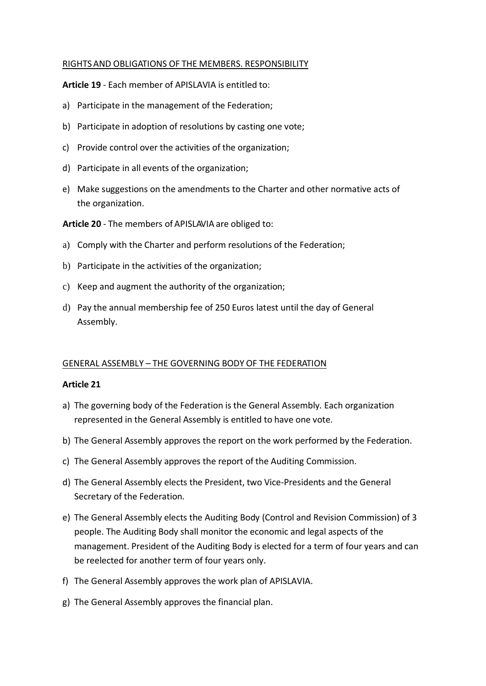#### RIGHTSAND OBLIGATIONS OF THE MEMBERS. RESPONSIBILITY

**Article 19** - Each member of APISLAVIA is entitled to:

- a) Participate in the management of the Federation;
- b) Participate in adoption of resolutions by casting one vote;
- c) Provide control over the activities of the organization;
- d) Participate in all events of the organization;
- e) Make suggestions on the amendments to the Charter and other normative acts of the organization.

**Article 20** - The members of APISLAVIA are obliged to:

- a) Comply with the Charter and perform resolutions of the Federation;
- b) Participate in the activities of the organization;
- c) Keep and augment the authority of the organization;
- d) Pay the annual membership fee of 250 Euros latest until the day of General Assembly.

#### GENERAL ASSEMBLY – THE GOVERNING BODY OF THE FEDERATION

#### **Article 21**

- a) The governing body of the Federation is the General Assembly. Each organization represented in the General Assembly is entitled to have one vote.
- b) The General Assembly approves the report on the work performed by the Federation.
- c) The General Assembly approves the report of the Auditing Commission.
- d) The General Assembly elects the President, two Vice-Presidents and the General Secretary of the Federation.
- e) The General Assembly elects the Auditing Body (Control and Revision Commission) of 3 people. The Auditing Body shall monitor the economic and legal aspects of the management. President of the Auditing Body is elected for a term of four years and can be reelected for another term of four years only.
- f) The General Assembly approves the work plan of APISLAVIA.
- g) The General Assembly approves the financial plan.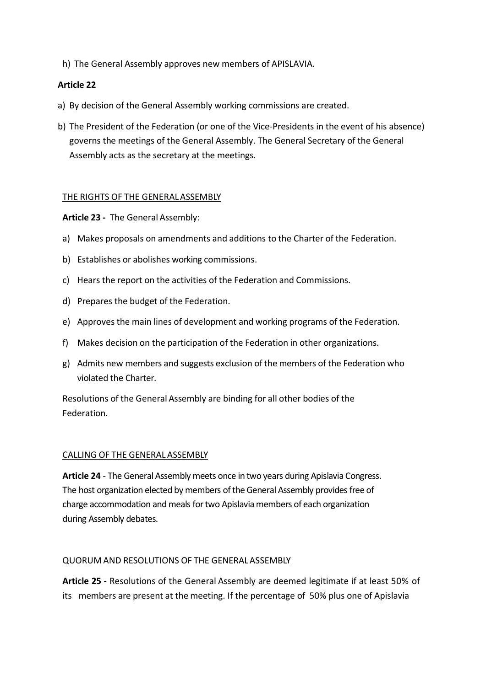h) The General Assembly approves new members of APISLAVIA.

# **Article 22**

- a) By decision of the General Assembly working commissions are created.
- b) The President of the Federation (or one of the Vice-Presidents in the event of his absence) governs the meetings of the General Assembly. The General Secretary of the General Assembly acts as the secretary at the meetings.

## THE RIGHTS OF THE GENERALASSEMBLY

**Article 23 -** The General Assembly:

- a) Makes proposals on amendments and additions to the Charter of the Federation.
- b) Establishes or abolishes working commissions.
- c) Hears the report on the activities of the Federation and Commissions.
- d) Prepares the budget of the Federation.
- e) Approvesthe main lines of development and working programs of the Federation.
- f) Makes decision on the participation of the Federation in other organizations.
- g) Admits new members and suggests exclusion of the members of the Federation who violated the Charter.

Resolutions of the General Assembly are binding for all other bodies of the Federation.

#### CALLING OF THE GENERALASSEMBLY

**Article 24** - The General Assembly meets once in two years during Apislavia Congress. The host organization elected by members of the General Assembly provides free of charge accommodation and meals for two Apislavia members of each organization during Assembly debates.

#### QUORUM AND RESOLUTIONS OF THE GENERALASSEMBLY

**Article 25** - Resolutions of the General Assembly are deemed legitimate if at least 50% of its members are present at the meeting. If the percentage of 50% plus one of Apislavia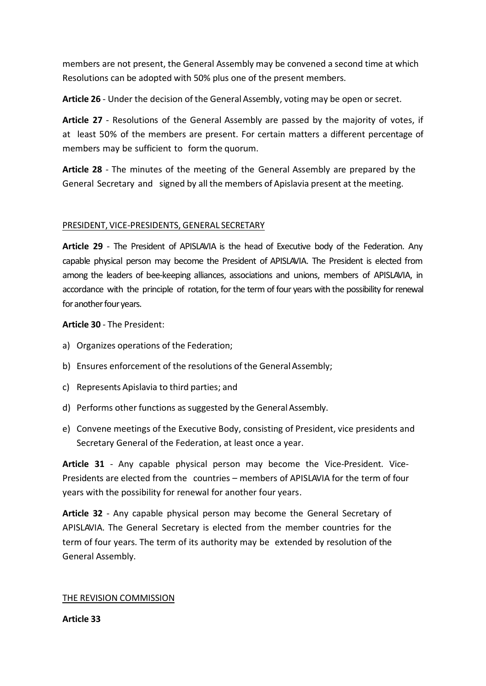members are not present, the General Assembly may be convened a second time at which Resolutions can be adopted with 50% plus one of the present members.

**Article 26** - Under the decision of the General Assembly, voting may be open or secret.

**Article 27** - Resolutions of the General Assembly are passed by the majority of votes, if at least 50% of the members are present. For certain matters a different percentage of members may be sufficient to form the quorum.

**Article 28** - The minutes of the meeting of the General Assembly are prepared by the General Secretary and signed by all the members of Apislavia present at the meeting.

## PRESIDENT, VICE-PRESIDENTS, GENERAL SECRETARY

**Article 29** - The President of APISLAVIA is the head of Executive body of the Federation. Any capable physical person may become the President of APISLAVIA. The President is elected from among the leaders of bee-keeping alliances, associations and unions, members of APISLAVIA, in accordance with the principle of rotation, for the term of four years with the possibility for renewal for another four years.

**Article 30** - The President:

- a) Organizes operations of the Federation;
- b) Ensures enforcement of the resolutions of the General Assembly;
- c) Represents Apislavia to third parties; and
- d) Performs other functions as suggested by the General Assembly.
- e) Convene meetings of the Executive Body, consisting of President, vice presidents and Secretary General of the Federation, at least once a year.

**Article 31** - Any capable physical person may become the Vice-President. Vice-Presidents are elected from the countries – members of APISLAVIA for the term of four years with the possibility for renewal for another four years.

**Article 32** - Any capable physical person may become the General Secretary of APISLAVIA. The General Secretary is elected from the member countries for the term of four years. The term of its authority may be extended by resolution of the General Assembly.

#### THE REVISION COMMISSION

**Article 33**